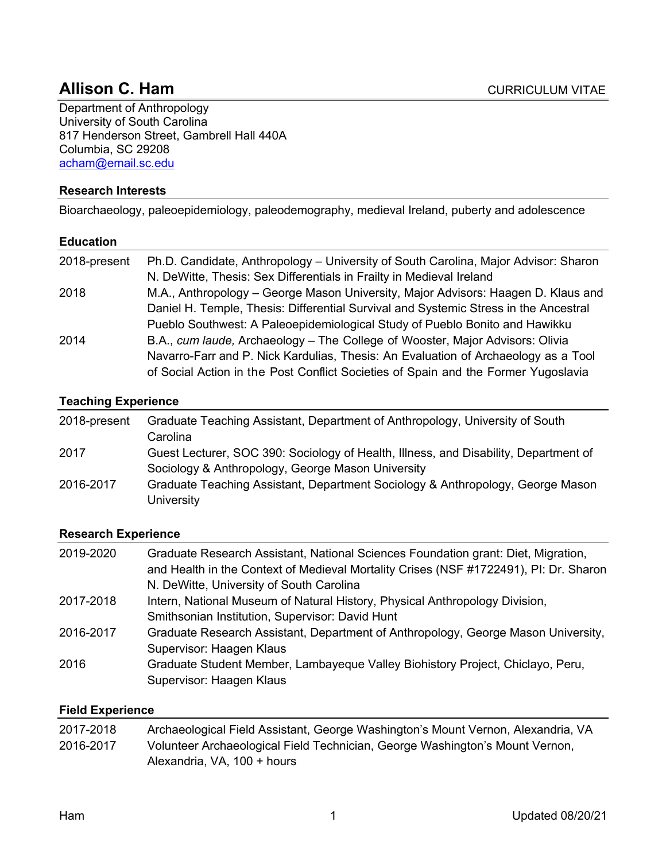# **Allison C. Ham CURRICULUM VITAE**

Department of Anthropology University of South Carolina 817 Henderson Street, Gambrell Hall 440A Columbia, SC 29208 acham@email.sc.edu

#### **Research Interests**

Bioarchaeology, paleoepidemiology, paleodemography, medieval Ireland, puberty and adolescence

#### **Education**

| 2018-present | Ph.D. Candidate, Anthropology – University of South Carolina, Major Advisor: Sharon  |
|--------------|--------------------------------------------------------------------------------------|
|              | N. DeWitte, Thesis: Sex Differentials in Frailty in Medieval Ireland                 |
| 2018         | M.A., Anthropology - George Mason University, Major Advisors: Haagen D. Klaus and    |
|              | Daniel H. Temple, Thesis: Differential Survival and Systemic Stress in the Ancestral |
|              | Pueblo Southwest: A Paleoepidemiological Study of Pueblo Bonito and Hawikku          |
| 2014         | B.A., cum laude, Archaeology – The College of Wooster, Major Advisors: Olivia        |
|              | Navarro-Farr and P. Nick Kardulias, Thesis: An Evaluation of Archaeology as a Tool   |
|              | of Social Action in the Post Conflict Societies of Spain and the Former Yugoslavia   |

# **Teaching Experience**

| 2018-present | Graduate Teaching Assistant, Department of Anthropology, University of South                 |
|--------------|----------------------------------------------------------------------------------------------|
|              | Carolinal                                                                                    |
| 2017         | Guest Lecturer, SOC 390: Sociology of Health, Illness, and Disability, Department of         |
|              | Sociology & Anthropology, George Mason University                                            |
| 2016-2017    | Graduate Teaching Assistant, Department Sociology & Anthropology, George Mason<br>University |

#### **Research Experience**

| 2019-2020 | Graduate Research Assistant, National Sciences Foundation grant: Diet, Migration,<br>and Health in the Context of Medieval Mortality Crises (NSF #1722491), PI: Dr. Sharon<br>N. DeWitte, University of South Carolina |
|-----------|------------------------------------------------------------------------------------------------------------------------------------------------------------------------------------------------------------------------|
| 2017-2018 | Intern, National Museum of Natural History, Physical Anthropology Division,<br>Smithsonian Institution, Supervisor: David Hunt                                                                                         |
| 2016-2017 | Graduate Research Assistant, Department of Anthropology, George Mason University,<br>Supervisor: Haagen Klaus                                                                                                          |
| 2016      | Graduate Student Member, Lambayeque Valley Biohistory Project, Chiclayo, Peru,<br>Supervisor: Haagen Klaus                                                                                                             |

#### **Field Experience**

| 2017-2018 | Archaeological Field Assistant, George Washington's Mount Vernon, Alexandria, VA |
|-----------|----------------------------------------------------------------------------------|
| 2016-2017 | Volunteer Archaeological Field Technician, George Washington's Mount Vernon,     |
|           | Alexandria, VA, 100 + hours                                                      |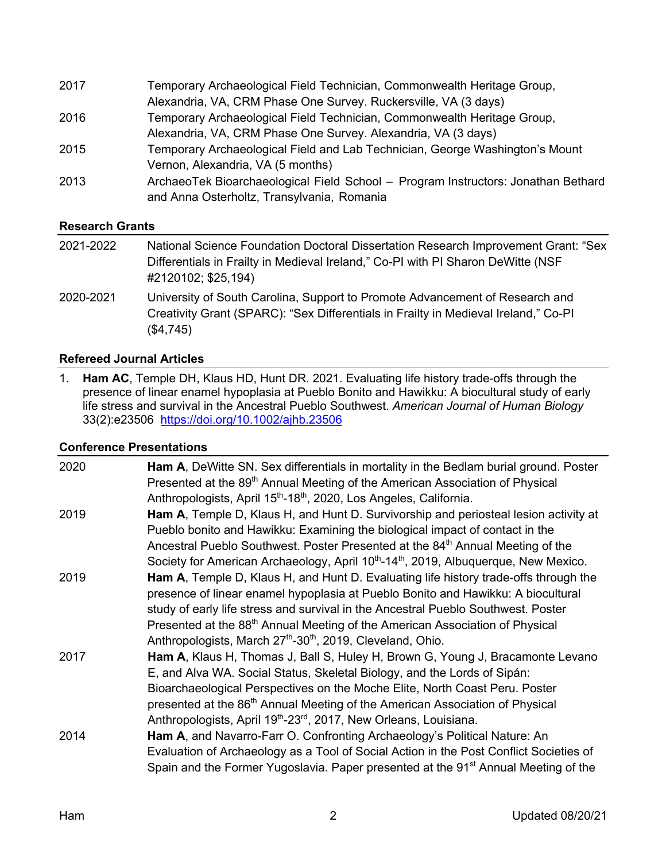| Temporary Archaeological Field Technician, Commonwealth Heritage Group,                                                         |
|---------------------------------------------------------------------------------------------------------------------------------|
| Alexandria, VA, CRM Phase One Survey. Ruckersville, VA (3 days)                                                                 |
| Temporary Archaeological Field Technician, Commonwealth Heritage Group,                                                         |
| Alexandria, VA, CRM Phase One Survey. Alexandria, VA (3 days)                                                                   |
| Temporary Archaeological Field and Lab Technician, George Washington's Mount                                                    |
| Vernon, Alexandria, VA (5 months)                                                                                               |
| ArchaeoTek Bioarchaeological Field School - Program Instructors: Jonathan Bethard<br>and Anna Osterholtz, Transylvania, Romania |
|                                                                                                                                 |

## **Research Grants**

| 2021-2022 | National Science Foundation Doctoral Dissertation Research Improvement Grant: "Sex<br>Differentials in Frailty in Medieval Ireland," Co-PI with PI Sharon DeWitte (NSF<br>#2120102; \$25,194) |
|-----------|-----------------------------------------------------------------------------------------------------------------------------------------------------------------------------------------------|
| 2020-2021 | University of South Carolina, Support to Promote Advancement of Research and<br>Creativity Grant (SPARC): "Sex Differentials in Frailty in Medieval Ireland," Co-PI<br>(\$4,745)              |

#### **Refereed Journal Articles**

1. **Ham AC**, Temple DH, Klaus HD, Hunt DR. 2021. Evaluating life history trade-offs through the presence of linear enamel hypoplasia at Pueblo Bonito and Hawikku: A biocultural study of early life stress and survival in the Ancestral Pueblo Southwest. *American Journal of Human Biology* 33(2):e23506 https://doi.org/10.1002/ajhb.23506

#### **Conference Presentations**

| 2020 | Ham A, DeWitte SN. Sex differentials in mortality in the Bedlam burial ground. Poster<br>Presented at the 89 <sup>th</sup> Annual Meeting of the American Association of Physical<br>Anthropologists, April 15 <sup>th</sup> -18 <sup>th</sup> , 2020, Los Angeles, California.                                                                                                                                                                 |
|------|-------------------------------------------------------------------------------------------------------------------------------------------------------------------------------------------------------------------------------------------------------------------------------------------------------------------------------------------------------------------------------------------------------------------------------------------------|
| 2019 | Ham A, Temple D, Klaus H, and Hunt D. Survivorship and periosteal lesion activity at<br>Pueblo bonito and Hawikku: Examining the biological impact of contact in the<br>Ancestral Pueblo Southwest. Poster Presented at the 84 <sup>th</sup> Annual Meeting of the<br>Society for American Archaeology, April 10 <sup>th</sup> -14 <sup>th</sup> , 2019, Albuquerque, New Mexico.                                                               |
| 2019 | Ham A, Temple D, Klaus H, and Hunt D. Evaluating life history trade-offs through the<br>presence of linear enamel hypoplasia at Pueblo Bonito and Hawikku: A biocultural<br>study of early life stress and survival in the Ancestral Pueblo Southwest. Poster<br>Presented at the 88 <sup>th</sup> Annual Meeting of the American Association of Physical<br>Anthropologists, March 27 <sup>th</sup> -30 <sup>th</sup> , 2019, Cleveland, Ohio. |
| 2017 | Ham A, Klaus H, Thomas J, Ball S, Huley H, Brown G, Young J, Bracamonte Levano<br>E, and Alva WA. Social Status, Skeletal Biology, and the Lords of Sipán:<br>Bioarchaeological Perspectives on the Moche Elite, North Coast Peru. Poster<br>presented at the 86 <sup>th</sup> Annual Meeting of the American Association of Physical<br>Anthropologists, April 19 <sup>th</sup> -23 <sup>rd</sup> , 2017, New Orleans, Louisiana.              |
| 2014 | Ham A, and Navarro-Farr O. Confronting Archaeology's Political Nature: An<br>Evaluation of Archaeology as a Tool of Social Action in the Post Conflict Societies of<br>Spain and the Former Yugoslavia. Paper presented at the 91 <sup>st</sup> Annual Meeting of the                                                                                                                                                                           |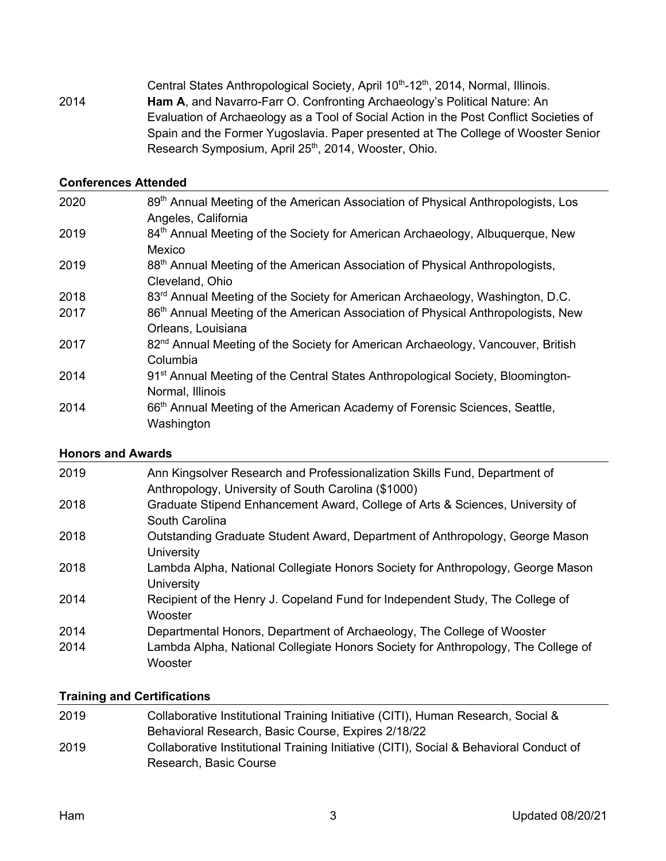Central States Anthropological Society, April 10<sup>th</sup>-12<sup>th</sup>, 2014, Normal, Illinois. 2014 **Ham A**, and Navarro-Farr O. Confronting Archaeology's Political Nature: An Evaluation of Archaeology as a Tool of Social Action in the Post Conflict Societies of Spain and the Former Yugoslavia. Paper presented at The College of Wooster Senior Research Symposium, April 25<sup>th</sup>, 2014, Wooster, Ohio.

#### **Conferences Attended**

| 2020 | 89 <sup>th</sup> Annual Meeting of the American Association of Physical Anthropologists, Los<br>Angeles, California |
|------|---------------------------------------------------------------------------------------------------------------------|
| 2019 | 84th Annual Meeting of the Society for American Archaeology, Albuquerque, New                                       |
|      | Mexico                                                                                                              |
| 2019 | 88 <sup>th</sup> Annual Meeting of the American Association of Physical Anthropologists,                            |
|      | Cleveland, Ohio                                                                                                     |
| 2018 | 83 <sup>rd</sup> Annual Meeting of the Society for American Archaeology, Washington, D.C.                           |
| 2017 | 86 <sup>th</sup> Annual Meeting of the American Association of Physical Anthropologists, New                        |
|      | Orleans, Louisiana                                                                                                  |
| 2017 | 82 <sup>nd</sup> Annual Meeting of the Society for American Archaeology, Vancouver, British                         |
|      | Columbia                                                                                                            |
| 2014 | 91 <sup>st</sup> Annual Meeting of the Central States Anthropological Society, Bloomington-                         |
|      | Normal, Illinois                                                                                                    |
| 2014 | 66 <sup>th</sup> Annual Meeting of the American Academy of Forensic Sciences, Seattle,                              |
|      | Washington                                                                                                          |

#### **Honors and Awards**

| 2019 | Ann Kingsolver Research and Professionalization Skills Fund, Department of<br>Anthropology, University of South Carolina (\$1000) |
|------|-----------------------------------------------------------------------------------------------------------------------------------|
| 2018 | Graduate Stipend Enhancement Award, College of Arts & Sciences, University of<br>South Carolina                                   |
| 2018 | Outstanding Graduate Student Award, Department of Anthropology, George Mason<br><b>University</b>                                 |
| 2018 | Lambda Alpha, National Collegiate Honors Society for Anthropology, George Mason<br><b>University</b>                              |
| 2014 | Recipient of the Henry J. Copeland Fund for Independent Study, The College of<br>Wooster                                          |
| 2014 | Departmental Honors, Department of Archaeology, The College of Wooster                                                            |
| 2014 | Lambda Alpha, National Collegiate Honors Society for Anthropology, The College of<br>Wooster                                      |

# **Training and Certifications**

| 2019 | Collaborative Institutional Training Initiative (CITI), Human Research, Social &       |
|------|----------------------------------------------------------------------------------------|
|      | Behavioral Research, Basic Course, Expires 2/18/22                                     |
| 2019 | Collaborative Institutional Training Initiative (CITI), Social & Behavioral Conduct of |
|      | Research, Basic Course                                                                 |